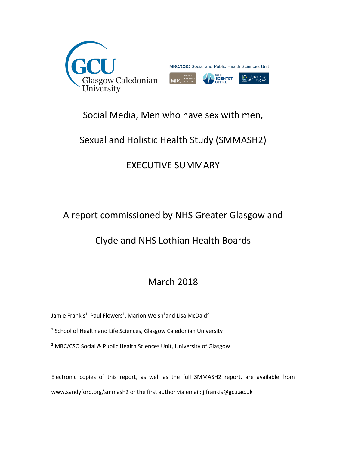

## Social Media, Men who have sex with men,

## Sexual and Holistic Health Study (SMMASH2)

# EXECUTIVE SUMMARY

## A report commissioned by NHS Greater Glasgow and

## Clyde and NHS Lothian Health Boards

## March 2018

Jamie Frankis<sup>1</sup>, Paul Flowers<sup>1</sup>, Marion Welsh<sup>1</sup>and Lisa McDaid<sup>2</sup>

 $<sup>1</sup>$  School of Health and Life Sciences, Glasgow Caledonian University</sup>

<sup>2</sup> MRC/CSO Social & Public Health Sciences Unit, University of Glasgow

Electronic copies of this report, as well as the full SMMASH2 report, are available from www.sandyford.org/smmash2 or the first author via email: j.frankis@gcu.ac.uk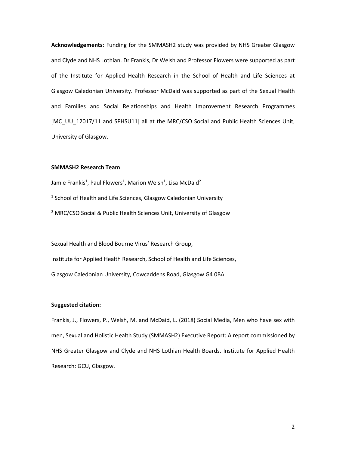**Acknowledgements**: Funding for the SMMASH2 study was provided by NHS Greater Glasgow and Clyde and NHS Lothian. Dr Frankis, Dr Welsh and Professor Flowers were supported as part of the Institute for Applied Health Research in the School of Health and Life Sciences at Glasgow Caledonian University. Professor McDaid was supported as part of the Sexual Health and Families and Social Relationships and Health Improvement Research Programmes [MC\_UU\_12017/11 and SPHSU11] all at the MRC/CSO Social and Public Health Sciences Unit, University of Glasgow.

### **SMMASH2 Research Team**

Jamie Frankis<sup>1</sup>, Paul Flowers<sup>1</sup>, Marion Welsh<sup>1</sup>, Lisa McDaid<sup>2</sup>  $1$  School of Health and Life Sciences, Glasgow Caledonian University <sup>2</sup> MRC/CSO Social & Public Health Sciences Unit, University of Glasgow

Sexual Health and Blood Bourne Virus' Research Group, Institute for Applied Health Research, School of Health and Life Sciences, Glasgow Caledonian University, Cowcaddens Road, Glasgow G4 0BA

## **Suggested citation:**

Frankis, J., Flowers, P., Welsh, M. and McDaid, L. (2018) Social Media, Men who have sex with men, Sexual and Holistic Health Study (SMMASH2) Executive Report: A report commissioned by NHS Greater Glasgow and Clyde and NHS Lothian Health Boards. Institute for Applied Health Research: GCU, Glasgow.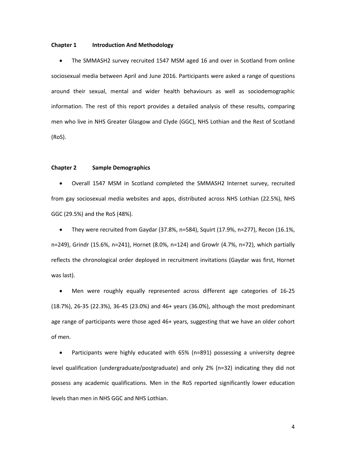#### **Chapter 1 Introduction And Methodology**

• The SMMASH2 survey recruited 1547 MSM aged 16 and over in Scotland from online sociosexual media between April and June 2016. Participants were asked a range of questions around their sexual, mental and wider health behaviours as well as sociodemographic information. The rest of this report provides a detailed analysis of these results, comparing men who live in NHS Greater Glasgow and Clyde (GGC), NHS Lothian and the Rest of Scotland (RoS).

#### **Chapter 2 Sample Demographics**

• Overall 1547 MSM in Scotland completed the SMMASH2 Internet survey, recruited from gay sociosexual media websites and apps, distributed across NHS Lothian (22.5%), NHS GGC (29.5%) and the RoS (48%).

• They were recruited from Gaydar (37.8%, n=584), Squirt (17.9%, n=277), Recon (16.1%, n=249), Grindr (15.6%, n=241), Hornet (8.0%, n=124) and Growlr (4.7%, n=72), which partially reflects the chronological order deployed in recruitment invitations (Gaydar was first, Hornet was last).

• Men were roughly equally represented across different age categories of 16-25 (18.7%), 26-35 (22.3%), 36-45 (23.0%) and 46+ years (36.0%), although the most predominant age range of participants were those aged 46+ years, suggesting that we have an older cohort of men.

• Participants were highly educated with 65% (n=891) possessing a university degree level qualification (undergraduate/postgraduate) and only 2% (n=32) indicating they did not possess any academic qualifications. Men in the RoS reported significantly lower education levels than men in NHS GGC and NHS Lothian.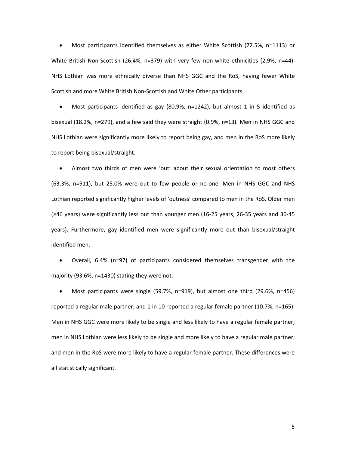• Most participants identified themselves as either White Scottish (72.5%, n=1113) or White British Non-Scottish (26.4%, n=379) with very few non-white ethnicities (2.9%, n=44). NHS Lothian was more ethnically diverse than NHS GGC and the RoS, having fewer White Scottish and more White British Non-Scottish and White Other participants.

• Most participants identified as gay (80.9%, n=1242), but almost 1 in 5 identified as bisexual (18.2%, n=279), and a few said they were straight (0.9%, n=13). Men in NHS GGC and NHS Lothian were significantly more likely to report being gay, and men in the RoS more likely to report being bisexual/straight.

• Almost two thirds of men were 'out' about their sexual orientation to most others (63.3%, n=911), but 25.0% were out to few people or no-one. Men in NHS GGC and NHS Lothian reported significantly higher levels of 'outness' compared to men in the RoS. Older men (≥46 years) were significantly less out than younger men (16-25 years, 26-35 years and 36-45 years). Furthermore, gay identified men were significantly more out than bisexual/straight identified men.

• Overall, 6.4% (n=97) of participants considered themselves transgender with the majority (93.6%, n=1430) stating they were not.

• Most participants were single (59.7%, n=919), but almost one third (29.6%, n=456) reported a regular male partner, and 1 in 10 reported a regular female partner (10.7%, n=165). Men in NHS GGC were more likely to be single and less likely to have a regular female partner; men in NHS Lothian were less likely to be single and more likely to have a regular male partner; and men in the RoS were more likely to have a regular female partner. These differences were all statistically significant.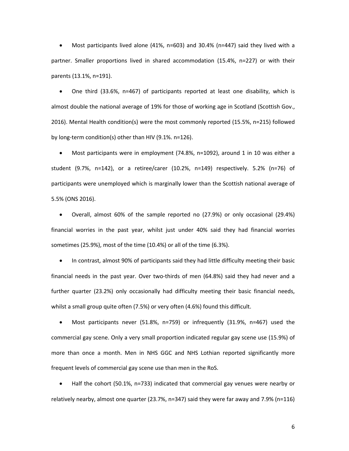• Most participants lived alone (41%, n=603) and 30.4% (n=447) said they lived with a partner. Smaller proportions lived in shared accommodation (15.4%, n=227) or with their parents (13.1%, n=191).

• One third (33.6%, n=467) of participants reported at least one disability, which is almost double the national average of 19% for those of working age in Scotland (Scottish Gov., 2016). Mental Health condition(s) were the most commonly reported (15.5%, n=215) followed by long-term condition(s) other than HIV (9.1%. n=126).

• Most participants were in employment (74.8%, n=1092), around 1 in 10 was either a student (9.7%, n=142), or a retiree/carer (10.2%, n=149) respectively. 5.2% (n=76) of participants were unemployed which is marginally lower than the Scottish national average of 5.5% (ONS 2016).

• Overall, almost 60% of the sample reported no (27.9%) or only occasional (29.4%) financial worries in the past year, whilst just under 40% said they had financial worries sometimes (25.9%), most of the time (10.4%) or all of the time (6.3%).

• In contrast, almost 90% of participants said they had little difficulty meeting their basic financial needs in the past year. Over two-thirds of men (64.8%) said they had never and a further quarter (23.2%) only occasionally had difficulty meeting their basic financial needs, whilst a small group quite often (7.5%) or very often (4.6%) found this difficult.

• Most participants never (51.8%, n=759) or infrequently (31.9%, n=467) used the commercial gay scene. Only a very small proportion indicated regular gay scene use (15.9%) of more than once a month. Men in NHS GGC and NHS Lothian reported significantly more frequent levels of commercial gay scene use than men in the RoS.

• Half the cohort (50.1%, n=733) indicated that commercial gay venues were nearby or relatively nearby, almost one quarter (23.7%, n=347) said they were far away and 7.9% (n=116)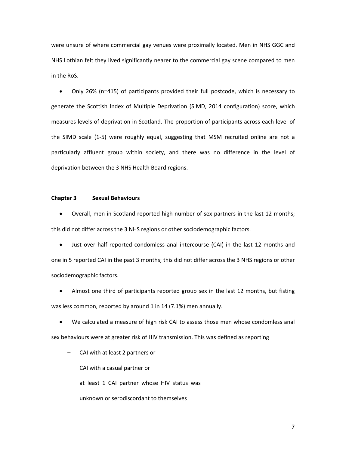were unsure of where commercial gay venues were proximally located. Men in NHS GGC and NHS Lothian felt they lived significantly nearer to the commercial gay scene compared to men in the RoS.

• Only 26% (n=415) of participants provided their full postcode, which is necessary to generate the Scottish Index of Multiple Deprivation (SIMD, 2014 configuration) score, which measures levels of deprivation in Scotland. The proportion of participants across each level of the SIMD scale (1-5) were roughly equal, suggesting that MSM recruited online are not a particularly affluent group within society, and there was no difference in the level of deprivation between the 3 NHS Health Board regions.

## **Chapter 3 Sexual Behaviours**

• Overall, men in Scotland reported high number of sex partners in the last 12 months; this did not differ across the 3 NHS regions or other sociodemographic factors.

• Just over half reported condomless anal intercourse (CAI) in the last 12 months and one in 5 reported CAI in the past 3 months; this did not differ across the 3 NHS regions or other sociodemographic factors.

• Almost one third of participants reported group sex in the last 12 months, but fisting was less common, reported by around 1 in 14 (7.1%) men annually.

• We calculated a measure of high risk CAI to assess those men whose condomless anal sex behaviours were at greater risk of HIV transmission. This was defined as reporting

– CAI with at least 2 partners or

– CAI with a casual partner or

at least 1 CAI partner whose HIV status was

unknown or serodiscordant to themselves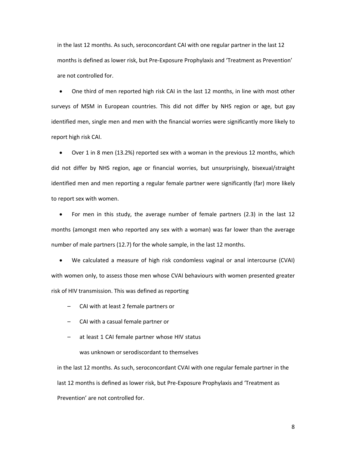in the last 12 months. As such, seroconcordant CAI with one regular partner in the last 12 months is defined as lower risk, but Pre-Exposure Prophylaxis and 'Treatment as Prevention' are not controlled for.

• One third of men reported high risk CAI in the last 12 months, in line with most other surveys of MSM in European countries. This did not differ by NHS region or age, but gay identified men, single men and men with the financial worries were significantly more likely to report high risk CAI.

• Over 1 in 8 men (13.2%) reported sex with a woman in the previous 12 months, which did not differ by NHS region, age or financial worries, but unsurprisingly, bisexual/straight identified men and men reporting a regular female partner were significantly (far) more likely to report sex with women.

• For men in this study, the average number of female partners (2.3) in the last 12 months (amongst men who reported any sex with a woman) was far lower than the average number of male partners (12.7) for the whole sample, in the last 12 months.

• We calculated a measure of high risk condomless vaginal or anal intercourse (CVAI) with women only, to assess those men whose CVAI behaviours with women presented greater risk of HIV transmission. This was defined as reporting

– CAI with at least 2 female partners or

– CAI with a casual female partner or

– at least 1 CAI female partner whose HIV status

was unknown or serodiscordant to themselves

in the last 12 months. As such, seroconcordant CVAI with one regular female partner in the last 12 months is defined as lower risk, but Pre-Exposure Prophylaxis and 'Treatment as Prevention' are not controlled for.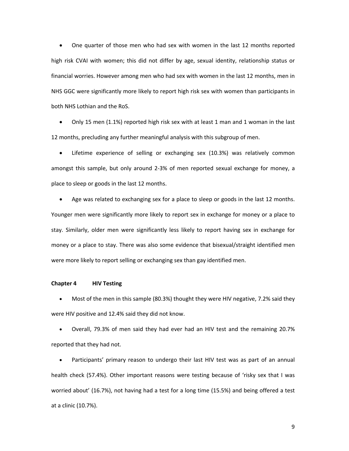• One quarter of those men who had sex with women in the last 12 months reported high risk CVAI with women; this did not differ by age, sexual identity, relationship status or financial worries. However among men who had sex with women in the last 12 months, men in NHS GGC were significantly more likely to report high risk sex with women than participants in both NHS Lothian and the RoS.

• Only 15 men (1.1%) reported high risk sex with at least 1 man and 1 woman in the last 12 months, precluding any further meaningful analysis with this subgroup of men.

Lifetime experience of selling or exchanging sex (10.3%) was relatively common amongst this sample, but only around 2-3% of men reported sexual exchange for money, a place to sleep or goods in the last 12 months.

Age was related to exchanging sex for a place to sleep or goods in the last 12 months. Younger men were significantly more likely to report sex in exchange for money or a place to stay. Similarly, older men were significantly less likely to report having sex in exchange for money or a place to stay. There was also some evidence that bisexual/straight identified men were more likely to report selling or exchanging sex than gay identified men.

## **Chapter 4 HIV Testing**

• Most of the men in this sample (80.3%) thought they were HIV negative, 7.2% said they were HIV positive and 12.4% said they did not know.

• Overall, 79.3% of men said they had ever had an HIV test and the remaining 20.7% reported that they had not.

Participants' primary reason to undergo their last HIV test was as part of an annual health check (57.4%). Other important reasons were testing because of 'risky sex that I was worried about' (16.7%), not having had a test for a long time (15.5%) and being offered a test at a clinic (10.7%).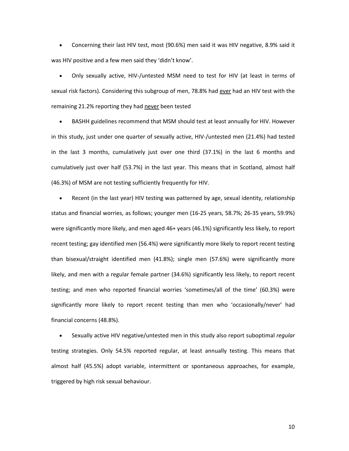• Concerning their last HIV test, most (90.6%) men said it was HIV negative, 8.9% said it was HIV positive and a few men said they 'didn't know'.

• Only sexually active, HIV-/untested MSM need to test for HIV (at least in terms of sexual risk factors). Considering this subgroup of men, 78.8% had ever had an HIV test with the remaining 21.2% reporting they had never been tested

• BASHH guidelines recommend that MSM should test at least annually for HIV. However in this study, just under one quarter of sexually active, HIV-/untested men (21.4%) had tested in the last 3 months, cumulatively just over one third (37.1%) in the last 6 months and cumulatively just over half (53.7%) in the last year. This means that in Scotland, almost half (46.3%) of MSM are not testing sufficiently frequently for HIV.

• Recent (in the last year) HIV testing was patterned by age, sexual identity, relationship status and financial worries, as follows; younger men (16-25 years, 58.7%; 26-35 years, 59.9%) were significantly more likely, and men aged 46+ years (46.1%) significantly less likely, to report recent testing; gay identified men (56.4%) were significantly more likely to report recent testing than bisexual/straight identified men (41.8%); single men (57.6%) were significantly more likely, and men with a regular female partner (34.6%) significantly less likely, to report recent testing; and men who reported financial worries 'sometimes/all of the time' (60.3%) were significantly more likely to report recent testing than men who 'occasionally/never' had financial concerns (48.8%).

• Sexually active HIV negative/untested men in this study also report suboptimal *regular* testing strategies. Only 54.5% reported regular, at least annually testing. This means that almost half (45.5%) adopt variable, intermittent or spontaneous approaches, for example, triggered by high risk sexual behaviour.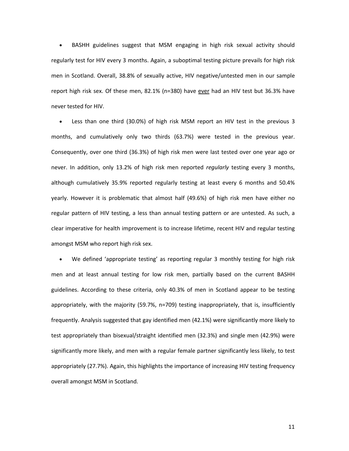• BASHH guidelines suggest that MSM engaging in high risk sexual activity should regularly test for HIV every 3 months. Again, a suboptimal testing picture prevails for high risk men in Scotland. Overall, 38.8% of sexually active, HIV negative/untested men in our sample report high risk sex. Of these men, 82.1% (n=380) have ever had an HIV test but 36.3% have never tested for HIV.

• Less than one third (30.0%) of high risk MSM report an HIV test in the previous 3 months, and cumulatively only two thirds (63.7%) were tested in the previous year. Consequently, over one third (36.3%) of high risk men were last tested over one year ago or never. In addition, only 13.2% of high risk men reported *regularly* testing every 3 months, although cumulatively 35.9% reported regularly testing at least every 6 months and 50.4% yearly. However it is problematic that almost half (49.6%) of high risk men have either no regular pattern of HIV testing, a less than annual testing pattern or are untested. As such, a clear imperative for health improvement is to increase lifetime, recent HIV and regular testing amongst MSM who report high risk sex.

• We defined 'appropriate testing' as reporting regular 3 monthly testing for high risk men and at least annual testing for low risk men, partially based on the current BASHH guidelines. According to these criteria, only 40.3% of men in Scotland appear to be testing appropriately, with the majority (59.7%, n=709) testing inappropriately, that is, insufficiently frequently. Analysis suggested that gay identified men (42.1%) were significantly more likely to test appropriately than bisexual/straight identified men (32.3%) and single men (42.9%) were significantly more likely, and men with a regular female partner significantly less likely, to test appropriately (27.7%). Again, this highlights the importance of increasing HIV testing frequency overall amongst MSM in Scotland.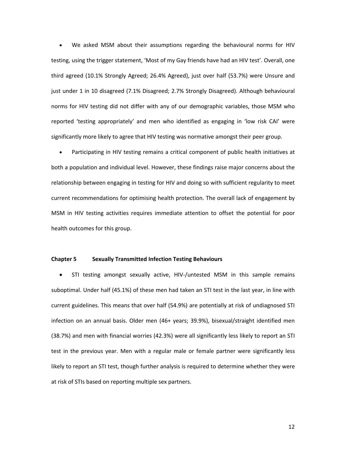• We asked MSM about their assumptions regarding the behavioural norms for HIV testing, using the trigger statement, 'Most of my Gay friends have had an HIV test'. Overall, one third agreed (10.1% Strongly Agreed; 26.4% Agreed), just over half (53.7%) were Unsure and just under 1 in 10 disagreed (7.1% Disagreed; 2.7% Strongly Disagreed). Although behavioural norms for HIV testing did not differ with any of our demographic variables, those MSM who reported 'testing appropriately' and men who identified as engaging in 'low risk CAI' were significantly more likely to agree that HIV testing was normative amongst their peer group.

• Participating in HIV testing remains a critical component of public health initiatives at both a population and individual level. However, these findings raise major concerns about the relationship between engaging in testing for HIV and doing so with sufficient regularity to meet current recommendations for optimising health protection. The overall lack of engagement by MSM in HIV testing activities requires immediate attention to offset the potential for poor health outcomes for this group.

## **Chapter 5 Sexually Transmitted Infection Testing Behaviours**

• STI testing amongst sexually active, HIV-/untested MSM in this sample remains suboptimal. Under half (45.1%) of these men had taken an STI test in the last year, in line with current guidelines. This means that over half (54.9%) are potentially at risk of undiagnosed STI infection on an annual basis. Older men (46+ years; 39.9%), bisexual/straight identified men (38.7%) and men with financial worries (42.3%) were all significantly less likely to report an STI test in the previous year. Men with a regular male or female partner were significantly less likely to report an STI test, though further analysis is required to determine whether they were at risk of STIs based on reporting multiple sex partners.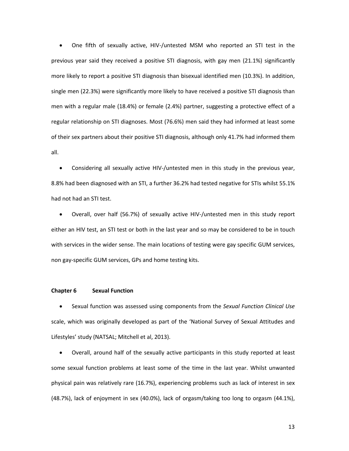• One fifth of sexually active, HIV-/untested MSM who reported an STI test in the previous year said they received a positive STI diagnosis, with gay men (21.1%) significantly more likely to report a positive STI diagnosis than bisexual identified men (10.3%). In addition, single men (22.3%) were significantly more likely to have received a positive STI diagnosis than men with a regular male (18.4%) or female (2.4%) partner, suggesting a protective effect of a regular relationship on STI diagnoses. Most (76.6%) men said they had informed at least some of their sex partners about their positive STI diagnosis, although only 41.7% had informed them all.

• Considering all sexually active HIV-/untested men in this study in the previous year, 8.8% had been diagnosed with an STI, a further 36.2% had tested negative for STIs whilst 55.1% had not had an STI test.

• Overall, over half (56.7%) of sexually active HIV-/untested men in this study report either an HIV test, an STI test or both in the last year and so may be considered to be in touch with services in the wider sense. The main locations of testing were gay specific GUM services, non gay-specific GUM services, GPs and home testing kits.

### **Chapter 6 Sexual Function**

• Sexual function was assessed using components from the *Sexual Function Clinical Use*  scale, which was originally developed as part of the 'National Survey of Sexual Attitudes and Lifestyles' study (NATSAL; Mitchell et al, 2013).

• Overall, around half of the sexually active participants in this study reported at least some sexual function problems at least some of the time in the last year. Whilst unwanted physical pain was relatively rare (16.7%), experiencing problems such as lack of interest in sex (48.7%), lack of enjoyment in sex (40.0%), lack of orgasm/taking too long to orgasm (44.1%),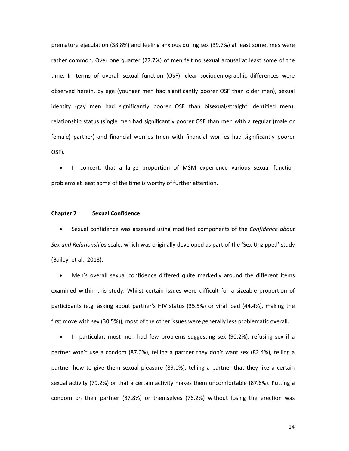premature ejaculation (38.8%) and feeling anxious during sex (39.7%) at least sometimes were rather common. Over one quarter (27.7%) of men felt no sexual arousal at least some of the time. In terms of overall sexual function (OSF), clear sociodemographic differences were observed herein, by age (younger men had significantly poorer OSF than older men), sexual identity (gay men had significantly poorer OSF than bisexual/straight identified men), relationship status (single men had significantly poorer OSF than men with a regular (male or female) partner) and financial worries (men with financial worries had significantly poorer OSF).

• In concert, that a large proportion of MSM experience various sexual function problems at least some of the time is worthy of further attention.

### **Chapter 7 Sexual Confidence**

• Sexual confidence was assessed using modified components of the *Confidence about Sex and Relationships* scale, which was originally developed as part of the 'Sex Unzipped' study (Bailey, et al., 2013).

• Men's overall sexual confidence differed quite markedly around the different items examined within this study. Whilst certain issues were difficult for a sizeable proportion of participants (e.g. asking about partner's HIV status (35.5%) or viral load (44.4%), making the first move with sex (30.5%)), most of the other issues were generally less problematic overall.

• In particular, most men had few problems suggesting sex (90.2%), refusing sex if a partner won't use a condom (87.0%), telling a partner they don't want sex (82.4%), telling a partner how to give them sexual pleasure (89.1%), telling a partner that they like a certain sexual activity (79.2%) or that a certain activity makes them uncomfortable (87.6%). Putting a condom on their partner (87.8%) or themselves (76.2%) without losing the erection was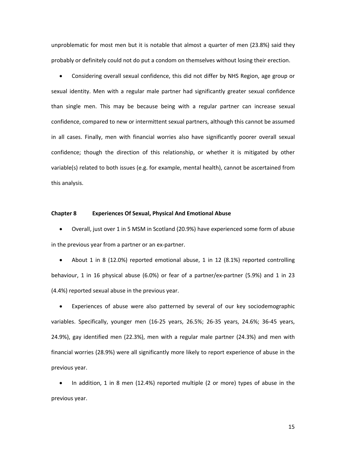unproblematic for most men but it is notable that almost a quarter of men (23.8%) said they probably or definitely could not do put a condom on themselves without losing their erection.

• Considering overall sexual confidence, this did not differ by NHS Region, age group or sexual identity. Men with a regular male partner had significantly greater sexual confidence than single men. This may be because being with a regular partner can increase sexual confidence, compared to new or intermittent sexual partners, although this cannot be assumed in all cases. Finally, men with financial worries also have significantly poorer overall sexual confidence; though the direction of this relationship, or whether it is mitigated by other variable(s) related to both issues (e.g. for example, mental health), cannot be ascertained from this analysis.

#### **Chapter 8 Experiences Of Sexual, Physical And Emotional Abuse**

• Overall, just over 1 in 5 MSM in Scotland (20.9%) have experienced some form of abuse in the previous year from a partner or an ex-partner.

• About 1 in 8 (12.0%) reported emotional abuse, 1 in 12 (8.1%) reported controlling behaviour, 1 in 16 physical abuse (6.0%) or fear of a partner/ex-partner (5.9%) and 1 in 23 (4.4%) reported sexual abuse in the previous year.

• Experiences of abuse were also patterned by several of our key sociodemographic variables. Specifically, younger men (16-25 years, 26.5%; 26-35 years, 24.6%; 36-45 years, 24.9%), gay identified men (22.3%), men with a regular male partner (24.3%) and men with financial worries (28.9%) were all significantly more likely to report experience of abuse in the previous year.

• In addition, 1 in 8 men (12.4%) reported multiple (2 or more) types of abuse in the previous year.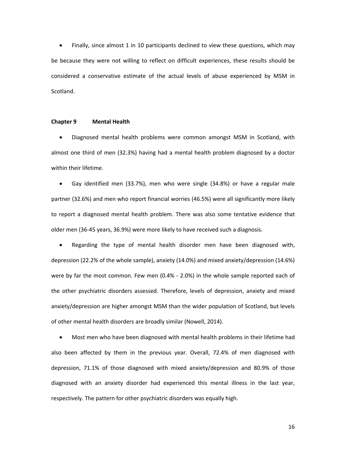• Finally, since almost 1 in 10 participants declined to view these questions, which may be because they were not willing to reflect on difficult experiences, these results should be considered a conservative estimate of the actual levels of abuse experienced by MSM in Scotland.

#### **Chapter 9 Mental Health**

• Diagnosed mental health problems were common amongst MSM in Scotland, with almost one third of men (32.3%) having had a mental health problem diagnosed by a doctor within their lifetime.

• Gay identified men (33.7%), men who were single (34.8%) or have a regular male partner (32.6%) and men who report financial worries (46.5%) were all significantly more likely to report a diagnosed mental health problem. There was also some tentative evidence that older men (36-45 years, 36.9%) were more likely to have received such a diagnosis.

• Regarding the type of mental health disorder men have been diagnosed with, depression (22.2% of the whole sample), anxiety (14.0%) and mixed anxiety/depression (14.6%) were by far the most common. Few men (0.4% - 2.0%) in the whole sample reported each of the other psychiatric disorders assessed. Therefore, levels of depression, anxiety and mixed anxiety/depression are higher amongst MSM than the wider population of Scotland, but levels of other mental health disorders are broadly similar (Nowell, 2014).

• Most men who have been diagnosed with mental health problems in their lifetime had also been affected by them in the previous year. Overall, 72.4% of men diagnosed with depression, 71.1% of those diagnosed with mixed anxiety/depression and 80.9% of those diagnosed with an anxiety disorder had experienced this mental illness in the last year, respectively. The pattern for other psychiatric disorders was equally high.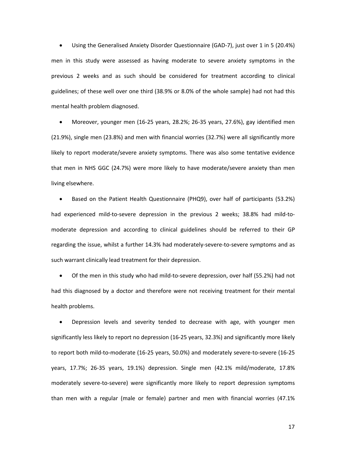• Using the Generalised Anxiety Disorder Questionnaire (GAD-7), just over 1 in 5 (20.4%) men in this study were assessed as having moderate to severe anxiety symptoms in the previous 2 weeks and as such should be considered for treatment according to clinical guidelines; of these well over one third (38.9% or 8.0% of the whole sample) had not had this mental health problem diagnosed.

• Moreover, younger men (16-25 years, 28.2%; 26-35 years, 27.6%), gay identified men (21.9%), single men (23.8%) and men with financial worries (32.7%) were all significantly more likely to report moderate/severe anxiety symptoms. There was also some tentative evidence that men in NHS GGC (24.7%) were more likely to have moderate/severe anxiety than men living elsewhere.

• Based on the Patient Health Questionnaire (PHQ9), over half of participants (53.2%) had experienced mild-to-severe depression in the previous 2 weeks; 38.8% had mild-tomoderate depression and according to clinical guidelines should be referred to their GP regarding the issue, whilst a further 14.3% had moderately-severe-to-severe symptoms and as such warrant clinically lead treatment for their depression.

• Of the men in this study who had mild-to-severe depression, over half (55.2%) had not had this diagnosed by a doctor and therefore were not receiving treatment for their mental health problems.

• Depression levels and severity tended to decrease with age, with younger men significantly less likely to report no depression (16-25 years, 32.3%) and significantly more likely to report both mild-to-moderate (16-25 years, 50.0%) and moderately severe-to-severe (16-25 years, 17.7%; 26-35 years, 19.1%) depression. Single men (42.1% mild/moderate, 17.8% moderately severe-to-severe) were significantly more likely to report depression symptoms than men with a regular (male or female) partner and men with financial worries (47.1%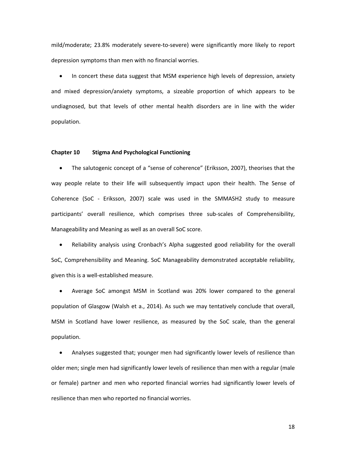mild/moderate; 23.8% moderately severe-to-severe) were significantly more likely to report depression symptoms than men with no financial worries.

• In concert these data suggest that MSM experience high levels of depression, anxiety and mixed depression/anxiety symptoms, a sizeable proportion of which appears to be undiagnosed, but that levels of other mental health disorders are in line with the wider population.

## **Chapter 10 Stigma And Psychological Functioning**

• The salutogenic concept of a "sense of coherence" (Eriksson, 2007), theorises that the way people relate to their life will subsequently impact upon their health. The Sense of Coherence (SoC - Eriksson, 2007) scale was used in the SMMASH2 study to measure participants' overall resilience, which comprises three sub-scales of Comprehensibility, Manageability and Meaning as well as an overall SoC score.

• Reliability analysis using Cronbach's Alpha suggested good reliability for the overall SoC, Comprehensibility and Meaning. SoC Manageability demonstrated acceptable reliability, given this is a well-established measure.

• Average SoC amongst MSM in Scotland was 20% lower compared to the general population of Glasgow (Walsh et a., 2014). As such we may tentatively conclude that overall, MSM in Scotland have lower resilience, as measured by the SoC scale, than the general population.

• Analyses suggested that; younger men had significantly lower levels of resilience than older men; single men had significantly lower levels of resilience than men with a regular (male or female) partner and men who reported financial worries had significantly lower levels of resilience than men who reported no financial worries.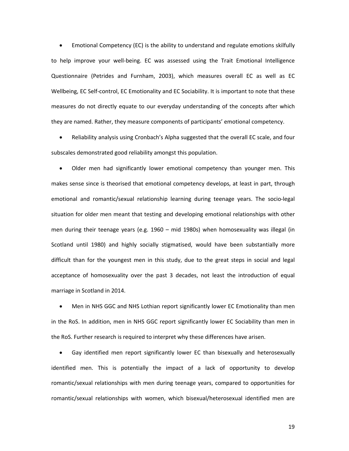• Emotional Competency (EC) is the ability to understand and regulate emotions skilfully to help improve your well-being. EC was assessed using the Trait Emotional Intelligence Questionnaire (Petrides and Furnham, 2003), which measures overall EC as well as EC Wellbeing, EC Self-control, EC Emotionality and EC Sociability. It is important to note that these measures do not directly equate to our everyday understanding of the concepts after which they are named. Rather, they measure components of participants' emotional competency.

• Reliability analysis using Cronbach's Alpha suggested that the overall EC scale, and four subscales demonstrated good reliability amongst this population.

• Older men had significantly lower emotional competency than younger men. This makes sense since is theorised that emotional competency develops, at least in part, through emotional and romantic/sexual relationship learning during teenage years. The socio-legal situation for older men meant that testing and developing emotional relationships with other men during their teenage years (e.g. 1960 – mid 1980s) when homosexuality was illegal (in Scotland until 1980) and highly socially stigmatised, would have been substantially more difficult than for the youngest men in this study, due to the great steps in social and legal acceptance of homosexuality over the past 3 decades, not least the introduction of equal marriage in Scotland in 2014.

• Men in NHS GGC and NHS Lothian report significantly lower EC Emotionality than men in the RoS. In addition, men in NHS GGC report significantly lower EC Sociability than men in the RoS. Further research is required to interpret why these differences have arisen.

• Gay identified men report significantly lower EC than bisexually and heterosexually identified men. This is potentially the impact of a lack of opportunity to develop romantic/sexual relationships with men during teenage years, compared to opportunities for romantic/sexual relationships with women, which bisexual/heterosexual identified men are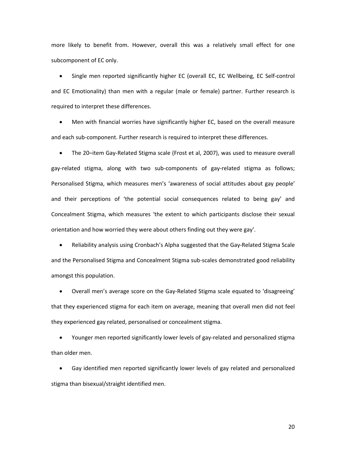more likely to benefit from. However, overall this was a relatively small effect for one subcomponent of EC only.

• Single men reported significantly higher EC (overall EC, EC Wellbeing, EC Self-control and EC Emotionality) than men with a regular (male or female) partner. Further research is required to interpret these differences.

Men with financial worries have significantly higher EC, based on the overall measure and each sub-component. Further research is required to interpret these differences.

• The 20–item Gay-Related Stigma scale (Frost et al, 2007), was used to measure overall gay-related stigma, along with two sub-components of gay-related stigma as follows; Personalised Stigma, which measures men's 'awareness of social attitudes about gay people' and their perceptions of 'the potential social consequences related to being gay' and Concealment Stigma, which measures 'the extent to which participants disclose their sexual orientation and how worried they were about others finding out they were gay'.

• Reliability analysis using Cronbach's Alpha suggested that the Gay-Related Stigma Scale and the Personalised Stigma and Concealment Stigma sub-scales demonstrated good reliability amongst this population.

• Overall men's average score on the Gay-Related Stigma scale equated to 'disagreeing' that they experienced stigma for each item on average, meaning that overall men did not feel they experienced gay related, personalised or concealment stigma.

• Younger men reported significantly lower levels of gay-related and personalized stigma than older men.

• Gay identified men reported significantly lower levels of gay related and personalized stigma than bisexual/straight identified men.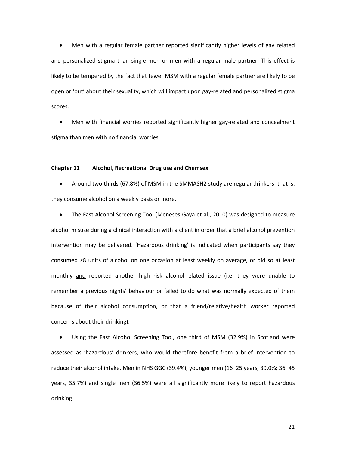• Men with a regular female partner reported significantly higher levels of gay related and personalized stigma than single men or men with a regular male partner. This effect is likely to be tempered by the fact that fewer MSM with a regular female partner are likely to be open or 'out' about their sexuality, which will impact upon gay-related and personalized stigma scores.

Men with financial worries reported significantly higher gay-related and concealment stigma than men with no financial worries.

#### **Chapter 11 Alcohol, Recreational Drug use and Chemsex**

• Around two thirds (67.8%) of MSM in the SMMASH2 study are regular drinkers, that is, they consume alcohol on a weekly basis or more.

• The Fast Alcohol Screening Tool (Meneses-Gaya et al., 2010) was designed to measure alcohol misuse during a clinical interaction with a client in order that a brief alcohol prevention intervention may be delivered. 'Hazardous drinking' is indicated when participants say they consumed ≥8 units of alcohol on one occasion at least weekly on average, or did so at least monthly and reported another high risk alcohol-related issue (i.e. they were unable to remember a previous nights' behaviour or failed to do what was normally expected of them because of their alcohol consumption, or that a friend/relative/health worker reported concerns about their drinking).

• Using the Fast Alcohol Screening Tool, one third of MSM (32.9%) in Scotland were assessed as 'hazardous' drinkers, who would therefore benefit from a brief intervention to reduce their alcohol intake. Men in NHS GGC (39.4%), younger men (16–25 years, 39.0%; 36–45 years, 35.7%) and single men (36.5%) were all significantly more likely to report hazardous drinking.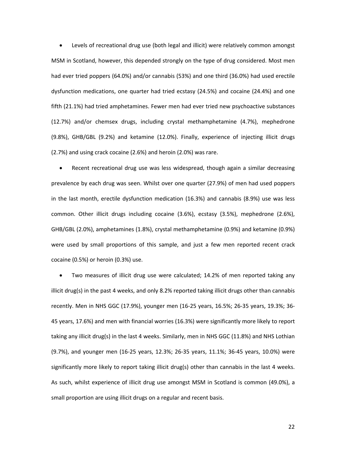• Levels of recreational drug use (both legal and illicit) were relatively common amongst MSM in Scotland, however, this depended strongly on the type of drug considered. Most men had ever tried poppers (64.0%) and/or cannabis (53%) and one third (36.0%) had used erectile dysfunction medications, one quarter had tried ecstasy (24.5%) and cocaine (24.4%) and one fifth (21.1%) had tried amphetamines. Fewer men had ever tried new psychoactive substances (12.7%) and/or chemsex drugs, including crystal methamphetamine (4.7%), mephedrone (9.8%), GHB/GBL (9.2%) and ketamine (12.0%). Finally, experience of injecting illicit drugs (2.7%) and using crack cocaine (2.6%) and heroin (2.0%) was rare.

Recent recreational drug use was less widespread, though again a similar decreasing prevalence by each drug was seen. Whilst over one quarter (27.9%) of men had used poppers in the last month, erectile dysfunction medication (16.3%) and cannabis (8.9%) use was less common. Other illicit drugs including cocaine (3.6%), ecstasy (3.5%), mephedrone (2.6%), GHB/GBL (2.0%), amphetamines (1.8%), crystal methamphetamine (0.9%) and ketamine (0.9%) were used by small proportions of this sample, and just a few men reported recent crack cocaine (0.5%) or heroin (0.3%) use.

• Two measures of illicit drug use were calculated; 14.2% of men reported taking any illicit drug(s) in the past 4 weeks, and only 8.2% reported taking illicit drugs other than cannabis recently. Men in NHS GGC (17.9%), younger men (16-25 years, 16.5%; 26-35 years, 19.3%; 36- 45 years, 17.6%) and men with financial worries (16.3%) were significantly more likely to report taking any illicit drug(s) in the last 4 weeks. Similarly, men in NHS GGC (11.8%) and NHS Lothian (9.7%), and younger men (16-25 years, 12.3%; 26-35 years, 11.1%; 36-45 years, 10.0%) were significantly more likely to report taking illicit drug(s) other than cannabis in the last 4 weeks. As such, whilst experience of illicit drug use amongst MSM in Scotland is common (49.0%), a small proportion are using illicit drugs on a regular and recent basis.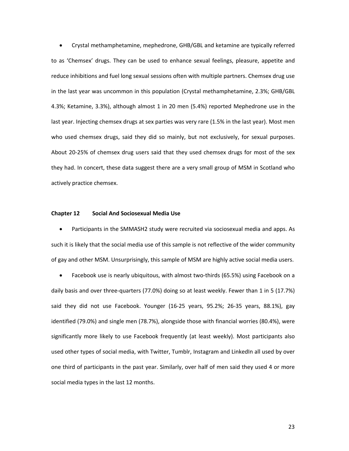• Crystal methamphetamine, mephedrone, GHB/GBL and ketamine are typically referred to as 'Chemsex' drugs. They can be used to enhance sexual feelings, pleasure, appetite and reduce inhibitions and fuel long sexual sessions often with multiple partners. Chemsex drug use in the last year was uncommon in this population (Crystal methamphetamine, 2.3%; GHB/GBL 4.3%; Ketamine, 3.3%), although almost 1 in 20 men (5.4%) reported Mephedrone use in the last year. Injecting chemsex drugs at sex parties was very rare (1.5% in the last year). Most men who used chemsex drugs, said they did so mainly, but not exclusively, for sexual purposes. About 20-25% of chemsex drug users said that they used chemsex drugs for most of the sex they had. In concert, these data suggest there are a very small group of MSM in Scotland who actively practice chemsex.

### **Chapter 12 Social And Sociosexual Media Use**

• Participants in the SMMASH2 study were recruited via sociosexual media and apps. As such it is likely that the social media use of this sample is not reflective of the wider community of gay and other MSM. Unsurprisingly, this sample of MSM are highly active social media users.

• Facebook use is nearly ubiquitous, with almost two-thirds (65.5%) using Facebook on a daily basis and over three-quarters (77.0%) doing so at least weekly. Fewer than 1 in 5 (17.7%) said they did not use Facebook. Younger (16-25 years, 95.2%; 26-35 years, 88.1%), gay identified (79.0%) and single men (78.7%), alongside those with financial worries (80.4%), were significantly more likely to use Facebook frequently (at least weekly). Most participants also used other types of social media, with Twitter, Tumblr, Instagram and LinkedIn all used by over one third of participants in the past year. Similarly, over half of men said they used 4 or more social media types in the last 12 months.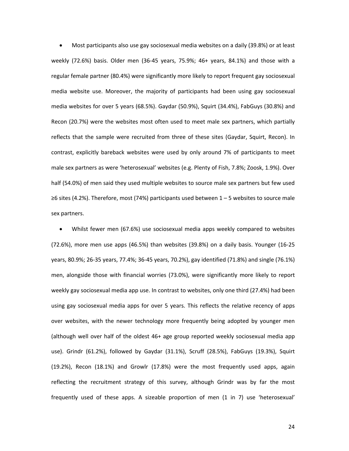• Most participants also use gay sociosexual media websites on a daily (39.8%) or at least weekly (72.6%) basis. Older men (36-45 years, 75.9%; 46+ years, 84.1%) and those with a regular female partner (80.4%) were significantly more likely to report frequent gay sociosexual media website use. Moreover, the majority of participants had been using gay sociosexual media websites for over 5 years (68.5%). Gaydar (50.9%), Squirt (34.4%), FabGuys (30.8%) and Recon (20.7%) were the websites most often used to meet male sex partners, which partially reflects that the sample were recruited from three of these sites (Gaydar, Squirt, Recon). In contrast, explicitly bareback websites were used by only around 7% of participants to meet male sex partners as were 'heterosexual' websites (e.g. Plenty of Fish, 7.8%; Zoosk, 1.9%). Over half (54.0%) of men said they used multiple websites to source male sex partners but few used ≥6 sites (4.2%). Therefore, most (74%) participants used between 1 – 5 websites to source male sex partners.

• Whilst fewer men (67.6%) use sociosexual media apps weekly compared to websites (72.6%), more men use apps (46.5%) than websites (39.8%) on a daily basis. Younger (16-25 years, 80.9%; 26-35 years, 77.4%; 36-45 years, 70.2%), gay identified (71.8%) and single (76.1%) men, alongside those with financial worries (73.0%), were significantly more likely to report weekly gay sociosexual media app use. In contrast to websites, only one third (27.4%) had been using gay sociosexual media apps for over 5 years. This reflects the relative recency of apps over websites, with the newer technology more frequently being adopted by younger men (although well over half of the oldest 46+ age group reported weekly sociosexual media app use). Grindr (61.2%), followed by Gaydar (31.1%), Scruff (28.5%), FabGuys (19.3%), Squirt (19.2%), Recon (18.1%) and Growlr (17.8%) were the most frequently used apps, again reflecting the recruitment strategy of this survey, although Grindr was by far the most frequently used of these apps. A sizeable proportion of men (1 in 7) use 'heterosexual'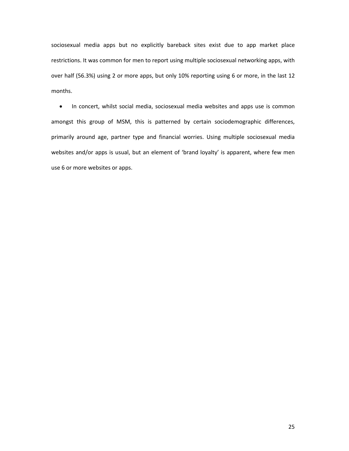sociosexual media apps but no explicitly bareback sites exist due to app market place restrictions. It was common for men to report using multiple sociosexual networking apps, with over half (56.3%) using 2 or more apps, but only 10% reporting using 6 or more, in the last 12 months.

• In concert, whilst social media, sociosexual media websites and apps use is common amongst this group of MSM, this is patterned by certain sociodemographic differences, primarily around age, partner type and financial worries. Using multiple sociosexual media websites and/or apps is usual, but an element of 'brand loyalty' is apparent, where few men use 6 or more websites or apps.